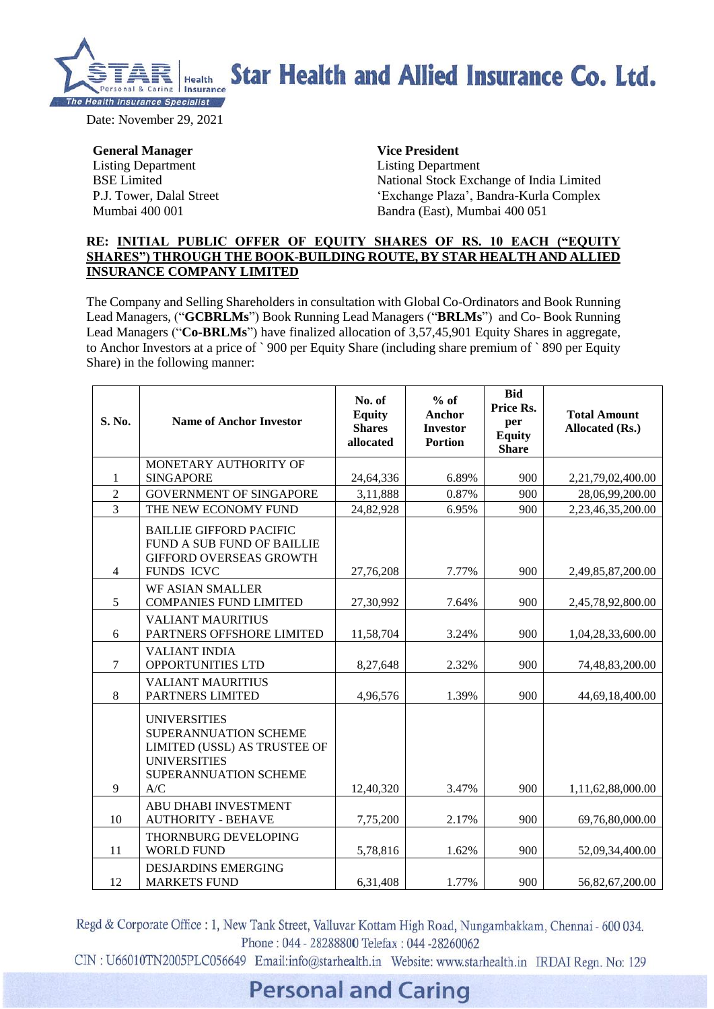

### **Star Health and Allied Insurance Co. Ltd.**

Date: November 29, 2021

**General Manager** Listing Department BSE Limited P.J. Tower, Dalal Street Mumbai 400 001

**Vice President** Listing Department

National Stock Exchange of India Limited 'Exchange Plaza', Bandra-Kurla Complex Bandra (East), Mumbai 400 051

#### **RE: INITIAL PUBLIC OFFER OF EQUITY SHARES OF RS. 10 EACH ("EQUITY SHARES") THROUGH THE BOOK-BUILDING ROUTE, BY STAR HEALTH AND ALLIED INSURANCE COMPANY LIMITED**

The Company and Selling Shareholders in consultation with Global Co-Ordinators and Book Running Lead Managers, ("**GCBRLMs**") Book Running Lead Managers ("**BRLMs**") and Co- Book Running Lead Managers ("**Co-BRLMs**") have finalized allocation of 3,57,45,901 Equity Shares in aggregate, to Anchor Investors at a price of ` 900 per Equity Share (including share premium of ` 890 per Equity Share) in the following manner:

| S. No.         | <b>Name of Anchor Investor</b>                                                                                                      | No. of<br><b>Equity</b><br><b>Shares</b><br>allocated | $%$ of<br>Anchor<br><b>Investor</b><br><b>Portion</b> | <b>Bid</b><br>Price Rs.<br>per<br><b>Equity</b><br><b>Share</b> | <b>Total Amount</b><br>Allocated (Rs.) |
|----------------|-------------------------------------------------------------------------------------------------------------------------------------|-------------------------------------------------------|-------------------------------------------------------|-----------------------------------------------------------------|----------------------------------------|
|                | MONETARY AUTHORITY OF                                                                                                               |                                                       |                                                       |                                                                 |                                        |
| 1              | <b>SINGAPORE</b>                                                                                                                    | 24,64,336                                             | 6.89%                                                 | 900                                                             | 2,21,79,02,400.00                      |
| $\overline{2}$ | <b>GOVERNMENT OF SINGAPORE</b>                                                                                                      | 3,11,888                                              | 0.87%                                                 | 900                                                             | 28,06,99,200.00                        |
| $\overline{3}$ | THE NEW ECONOMY FUND                                                                                                                | 24,82,928                                             | 6.95%                                                 | 900                                                             | 2,23,46,35,200.00                      |
| $\overline{4}$ | <b>BAILLIE GIFFORD PACIFIC</b><br>FUND A SUB FUND OF BAILLIE<br><b>GIFFORD OVERSEAS GROWTH</b><br><b>FUNDS ICVC</b>                 | 27,76,208                                             | 7.77%                                                 | 900                                                             | 2,49,85,87,200.00                      |
| 5              | <b>WF ASIAN SMALLER</b><br><b>COMPANIES FUND LIMITED</b>                                                                            | 27,30,992                                             | 7.64%                                                 | 900                                                             | 2,45,78,92,800.00                      |
| 6              | <b>VALIANT MAURITIUS</b><br>PARTNERS OFFSHORE LIMITED                                                                               | 11,58,704                                             | 3.24%                                                 | 900                                                             | 1,04,28,33,600.00                      |
| $\tau$         | <b>VALIANT INDIA</b><br>OPPORTUNITIES LTD                                                                                           | 8,27,648                                              | 2.32%                                                 | 900                                                             | 74,48,83,200.00                        |
| 8              | <b>VALIANT MAURITIUS</b><br>PARTNERS LIMITED                                                                                        | 4,96,576                                              | 1.39%                                                 | 900                                                             | 44,69,18,400.00                        |
| 9              | <b>UNIVERSITIES</b><br>SUPERANNUATION SCHEME<br>LIMITED (USSL) AS TRUSTEE OF<br><b>UNIVERSITIES</b><br>SUPERANNUATION SCHEME<br>A/C | 12,40,320                                             | 3.47%                                                 | 900                                                             | 1,11,62,88,000.00                      |
| 10             | ABU DHABI INVESTMENT<br><b>AUTHORITY - BEHAVE</b>                                                                                   | 7,75,200                                              | 2.17%                                                 | 900                                                             | 69,76,80,000.00                        |
| 11             | THORNBURG DEVELOPING<br><b>WORLD FUND</b>                                                                                           | 5,78,816                                              | 1.62%                                                 | 900                                                             | 52,09,34,400.00                        |
| 12             | <b>DESJARDINS EMERGING</b><br><b>MARKETS FUND</b>                                                                                   | 6,31,408                                              | 1.77%                                                 | 900                                                             | 56,82,67,200.00                        |

Regd & Corporate Office : 1, New Tank Street, Valluvar Kottam High Road, Nungambakkam, Chennai - 600 034. Phone: 044 - 28288800 Telefax: 044 -28260062

CIN: U66010TN2005PLC056649 Email:info@starhealth.in Website: www.starhealth.in IRDAI Regn. No: 129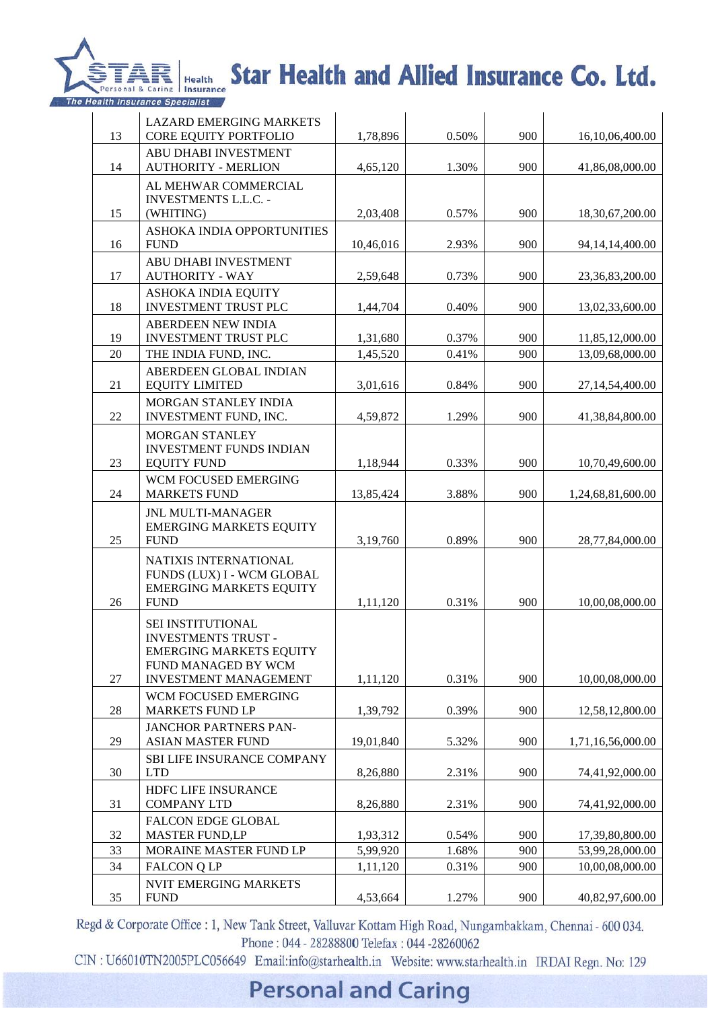

# TARIS Health Star Health and Allied Insurance Co. Ltd.

|    | <b>LAZARD EMERGING MARKETS</b>                                                                                                           |           |       |     |                   |
|----|------------------------------------------------------------------------------------------------------------------------------------------|-----------|-------|-----|-------------------|
| 13 | CORE EQUITY PORTFOLIO                                                                                                                    | 1,78,896  | 0.50% | 900 | 16,10,06,400.00   |
| 14 | ABU DHABI INVESTMENT<br><b>AUTHORITY - MERLION</b>                                                                                       | 4,65,120  | 1.30% | 900 | 41,86,08,000.00   |
| 15 | AL MEHWAR COMMERCIAL<br><b>INVESTMENTS L.L.C. -</b><br>(WHITING)                                                                         | 2,03,408  | 0.57% | 900 | 18,30,67,200.00   |
| 16 | ASHOKA INDIA OPPORTUNITIES<br><b>FUND</b>                                                                                                | 10,46,016 | 2.93% | 900 | 94,14,14,400.00   |
| 17 | ABU DHABI INVESTMENT<br><b>AUTHORITY - WAY</b>                                                                                           | 2,59,648  | 0.73% | 900 | 23,36,83,200.00   |
| 18 | ASHOKA INDIA EQUITY<br><b>INVESTMENT TRUST PLC</b>                                                                                       | 1,44,704  | 0.40% | 900 | 13,02,33,600.00   |
| 19 | <b>ABERDEEN NEW INDIA</b><br><b>INVESTMENT TRUST PLC</b>                                                                                 | 1,31,680  | 0.37% | 900 | 11,85,12,000.00   |
| 20 | THE INDIA FUND, INC.                                                                                                                     | 1,45,520  | 0.41% | 900 | 13,09,68,000.00   |
| 21 | ABERDEEN GLOBAL INDIAN<br><b>EQUITY LIMITED</b>                                                                                          | 3,01,616  | 0.84% | 900 | 27,14,54,400.00   |
|    | MORGAN STANLEY INDIA                                                                                                                     |           |       |     |                   |
| 22 | INVESTMENT FUND, INC.                                                                                                                    | 4,59,872  | 1.29% | 900 | 41,38,84,800.00   |
| 23 | MORGAN STANLEY<br><b>INVESTMENT FUNDS INDIAN</b><br><b>EQUITY FUND</b>                                                                   | 1,18,944  | 0.33% | 900 | 10,70,49,600.00   |
| 24 | WCM FOCUSED EMERGING<br><b>MARKETS FUND</b>                                                                                              | 13,85,424 | 3.88% | 900 | 1,24,68,81,600.00 |
| 25 | <b>JNL MULTI-MANAGER</b><br><b>EMERGING MARKETS EQUITY</b><br><b>FUND</b>                                                                | 3,19,760  | 0.89% | 900 | 28,77,84,000.00   |
| 26 | NATIXIS INTERNATIONAL<br>FUNDS (LUX) I - WCM GLOBAL<br><b>EMERGING MARKETS EQUITY</b><br><b>FUND</b>                                     | 1,11,120  | 0.31% | 900 | 10,00,08,000.00   |
| 27 | SEI INSTITUTIONAL<br><b>INVESTMENTS TRUST -</b><br><b>EMERGING MARKETS EQUITY</b><br>FUND MANAGED BY WCM<br><b>INVESTMENT MANAGEMENT</b> | 1,11,120  | 0.31% | 900 | 10,00,08,000.00   |
| 28 | <b>WCM FOCUSED EMERGING</b><br><b>MARKETS FUND LP</b>                                                                                    | 1,39,792  | 0.39% | 900 | 12,58,12,800.00   |
| 29 | <b>JANCHOR PARTNERS PAN-</b><br><b>ASIAN MASTER FUND</b>                                                                                 | 19,01,840 | 5.32% | 900 | 1,71,16,56,000.00 |
| 30 | <b>SBI LIFE INSURANCE COMPANY</b><br><b>LTD</b>                                                                                          | 8,26,880  | 2.31% | 900 | 74,41,92,000.00   |
| 31 | HDFC LIFE INSURANCE<br><b>COMPANY LTD</b>                                                                                                | 8,26,880  | 2.31% | 900 | 74,41,92,000.00   |
| 32 | <b>FALCON EDGE GLOBAL</b><br><b>MASTER FUND,LP</b>                                                                                       | 1,93,312  | 0.54% | 900 | 17,39,80,800.00   |
| 33 | MORAINE MASTER FUND LP                                                                                                                   | 5,99,920  | 1.68% | 900 | 53,99,28,000.00   |
| 34 | <b>FALCON Q LP</b>                                                                                                                       | 1,11,120  | 0.31% | 900 | 10,00,08,000.00   |
|    | <b>NVIT EMERGING MARKETS</b>                                                                                                             |           |       |     |                   |
| 35 | <b>FUND</b>                                                                                                                              | 4,53,664  | 1.27% | 900 | 40,82,97,600.00   |

Regd & Corporate Office : 1, New Tank Street, Valluvar Kottam High Road, Nungambakkam, Chennai - 600 034. Phone: 044 - 28288800 Telefax: 044 -28260062

CIN: U66010TN2005PLC056649 Email:info@starhealth.in Website: www.starhealth.in IRDAI Regn. No: 129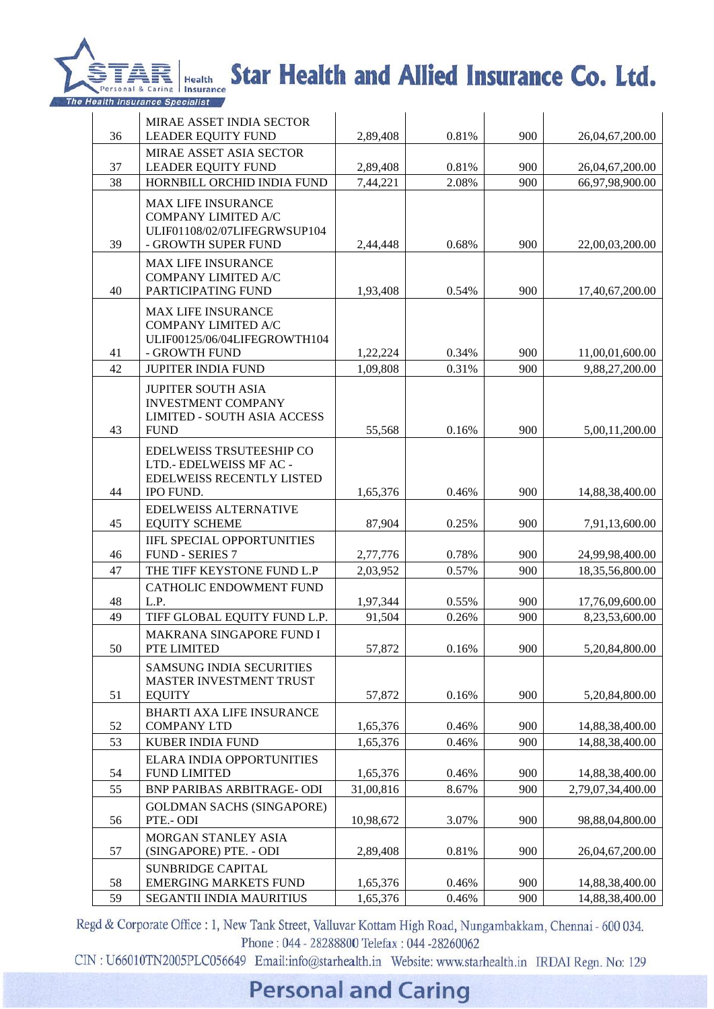

# TARIS Health Star Health and Allied Insurance Co. Ltd.

| 36       | MIRAE ASSET INDIA SECTOR<br>LEADER EQUITY FUND                                                              | 2,89,408  | 0.81%          | 900        | 26,04,67,200.00   |
|----------|-------------------------------------------------------------------------------------------------------------|-----------|----------------|------------|-------------------|
|          | MIRAE ASSET ASIA SECTOR                                                                                     |           |                |            |                   |
| 37<br>38 | <b>LEADER EQUITY FUND</b>                                                                                   | 2,89,408  | 0.81%<br>2.08% | 900<br>900 | 26,04,67,200.00   |
|          | HORNBILL ORCHID INDIA FUND                                                                                  | 7,44,221  |                |            | 66,97,98,900.00   |
| 39       | <b>MAX LIFE INSURANCE</b><br>COMPANY LIMITED A/C<br>ULIF01108/02/07LIFEGRWSUP104<br>- GROWTH SUPER FUND     | 2,44,448  | 0.68%          | 900        | 22,00,03,200.00   |
| 40       | <b>MAX LIFE INSURANCE</b><br>COMPANY LIMITED A/C<br>PARTICIPATING FUND                                      | 1,93,408  | 0.54%          | 900        | 17,40,67,200.00   |
| 41       | <b>MAX LIFE INSURANCE</b><br>COMPANY LIMITED A/C<br>ULIF00125/06/04LIFEGROWTH104<br>- GROWTH FUND           | 1,22,224  | 0.34%          | 900        | 11,00,01,600.00   |
| 42       | JUPITER INDIA FUND                                                                                          | 1,09,808  | 0.31%          | 900        | 9.88,27,200.00    |
| 43       | <b>JUPITER SOUTH ASIA</b><br><b>INVESTMENT COMPANY</b><br><b>LIMITED - SOUTH ASIA ACCESS</b><br><b>FUND</b> | 55,568    | 0.16%          | 900        | 5,00,11,200.00    |
| 44       | <b>EDELWEISS TRSUTEESHIP CO</b><br>LTD.- EDELWEISS MF AC -<br>EDELWEISS RECENTLY LISTED<br>IPO FUND.        | 1,65,376  | 0.46%          | 900        | 14,88,38,400.00   |
| 45       | <b>EDELWEISS ALTERNATIVE</b><br><b>EQUITY SCHEME</b>                                                        | 87,904    | 0.25%          | 900        | 7,91,13,600.00    |
| 46       | IIFL SPECIAL OPPORTUNITIES<br><b>FUND - SERIES 7</b>                                                        | 2,77,776  | 0.78%          | 900        | 24,99,98,400.00   |
| 47       | THE TIFF KEYSTONE FUND L.P                                                                                  | 2,03,952  | 0.57%          | 900        | 18,35,56,800.00   |
| 48       | <b>CATHOLIC ENDOWMENT FUND</b><br>L.P.                                                                      | 1,97,344  | 0.55%          | 900        | 17,76,09,600.00   |
| 49       | TIFF GLOBAL EQUITY FUND L.P.                                                                                | 91,504    | 0.26%          | 900        | 8,23,53,600.00    |
|          | MAKRANA SINGAPORE FUND I                                                                                    |           |                |            |                   |
| 50       | PTE LIMITED                                                                                                 | 57,872    | 0.16%          | 900        | 5,20,84,800.00    |
| 51       | <b>SAMSUNG INDIA SECURITIES</b><br><b>MASTER INVESTMENT TRUST</b><br><b>EQUITY</b>                          | 57,872    | 0.16%          | 900        | 5,20,84,800.00    |
|          | <b>BHARTI AXA LIFE INSURANCE</b>                                                                            |           |                |            |                   |
| 52       | <b>COMPANY LTD</b>                                                                                          | 1,65,376  | 0.46%          | 900        | 14,88,38,400.00   |
| 53       | KUBER INDIA FUND                                                                                            | 1,65,376  | 0.46%          | 900        | 14,88,38,400.00   |
| 54       | <b>ELARA INDIA OPPORTUNITIES</b><br><b>FUND LIMITED</b>                                                     | 1,65,376  | 0.46%          | 900        | 14,88,38,400.00   |
| 55       | BNP PARIBAS ARBITRAGE-ODI                                                                                   | 31,00,816 | 8.67%          | 900        | 2,79,07,34,400.00 |
| 56       | <b>GOLDMAN SACHS (SINGAPORE)</b><br>PTE.- ODI                                                               | 10,98,672 | 3.07%          | 900        | 98,88,04,800.00   |
| 57       | MORGAN STANLEY ASIA<br>(SINGAPORE) PTE. - ODI                                                               | 2,89,408  | 0.81%          | 900        | 26,04,67,200.00   |
| 58       | <b>SUNBRIDGE CAPITAL</b><br><b>EMERGING MARKETS FUND</b>                                                    | 1,65,376  | 0.46%          | 900        | 14,88,38,400.00   |
| 59       | SEGANTII INDIA MAURITIUS                                                                                    | 1,65,376  | 0.46%          | 900        | 14,88,38,400.00   |

Regd & Corporate Office : 1, New Tank Street, Valluvar Kottam High Road, Nungambakkam, Chennai - 600 034. Phone: 044 - 28288800 Telefax: 044 -28260062

CIN: U66010TN2005PLC056649 Email:info@starhealth.in Website: www.starhealth.in IRDAI Regn. No: 129